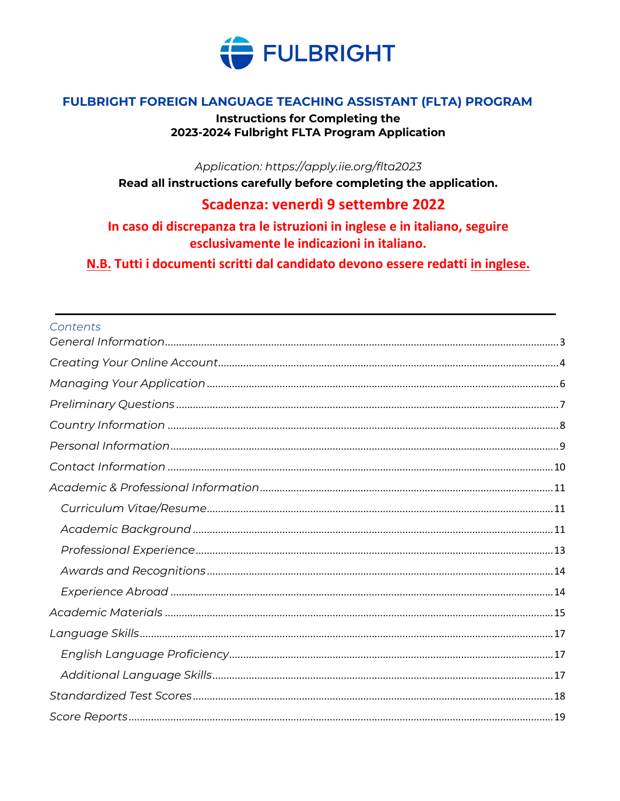

#### FULBRIGHT FOREIGN LANGUAGE TEACHING ASSISTANT (FLTA) PROGRAM

**Instructions for Completing the** 2023-2024 Fulbright FLTA Program Application

Application: https://apply.iie.org/flta2023

Read all instructions carefully before completing the application.

#### Scadenza: venerdì 9 settembre 2022

In caso di discrepanza tra le istruzioni in inglese e in italiano, seguire esclusivamente le indicazioni in italiano.

N.B. Tutti i documenti scritti dal candidato devono essere redatti in inglese.

#### Contents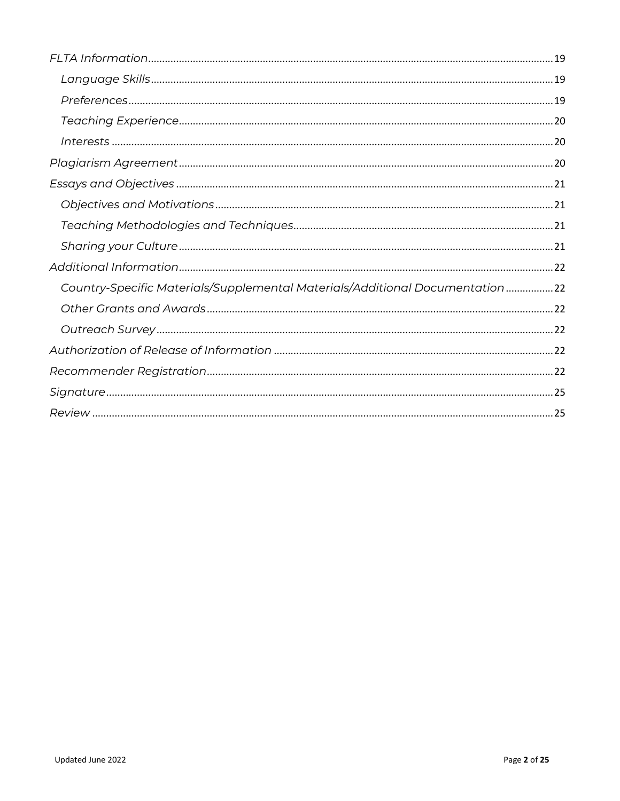| Country-Specific Materials/Supplemental Materials/Additional Documentation22 |
|------------------------------------------------------------------------------|
|                                                                              |
|                                                                              |
|                                                                              |
|                                                                              |
|                                                                              |
|                                                                              |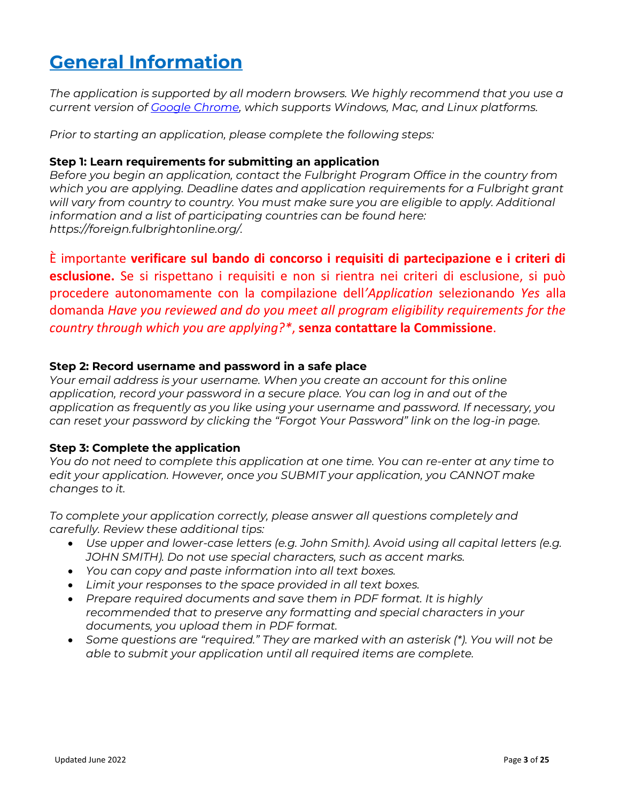# <span id="page-2-0"></span>**General Information**

*The application is supported by all modern browsers. We highly recommend that you use a current version of [Google Chrome,](https://www.google.com/chrome/) which supports Windows, Mac, and Linux platforms.*

*Prior to starting an application, please complete the following steps:*

#### **Step 1: Learn requirements for submitting an application**

*Before you begin an application, contact the Fulbright Program Office in the country from which you are applying. Deadline dates and application requirements for a Fulbright grant*  will vary from country to country. You must make sure you are eligible to apply. Additional *information and a list of participating countries can be found here: [https://foreign.fulbrightonline.org/.](https://foreign.fulbrightonline.org/)*

È importante **verificare sul bando di concorso i requisiti di partecipazione e i criteri di esclusione.** Se si rispettano i requisiti e non si rientra nei criteri di esclusione, si può procedere autonomamente con la compilazione dell*'Application* selezionando *Yes* alla domanda *Have you reviewed and do you meet all program eligibility requirements for the country through which you are applying?\**, **senza contattare la Commissione**.

#### **Step 2: Record username and password in a safe place**

*Your email address is your username. When you create an account for this online application, record your password in a secure place. You can log in and out of the application as frequently as you like using your username and password. If necessary, you can reset your password by clicking the "Forgot Your Password" link on the log-in page.* 

#### **Step 3: Complete the application**

*You do not need to complete this application at one time. You can re-enter at any time to edit your application. However, once you SUBMIT your application, you CANNOT make changes to it.*

*To complete your application correctly, please answer all questions completely and carefully. Review these additional tips:*

- *Use upper and lower-case letters (e.g. John Smith). Avoid using all capital letters (e.g. JOHN SMITH). Do not use special characters, such as accent marks.*
- *You can copy and paste information into all text boxes.*
- *Limit your responses to the space provided in all text boxes.*
- *Prepare required documents and save them in PDF format. It is highly recommended that to preserve any formatting and special characters in your documents, you upload them in PDF format.*
- *Some questions are "required." They are marked with an asterisk (\*). You will not be able to submit your application until all required items are complete.*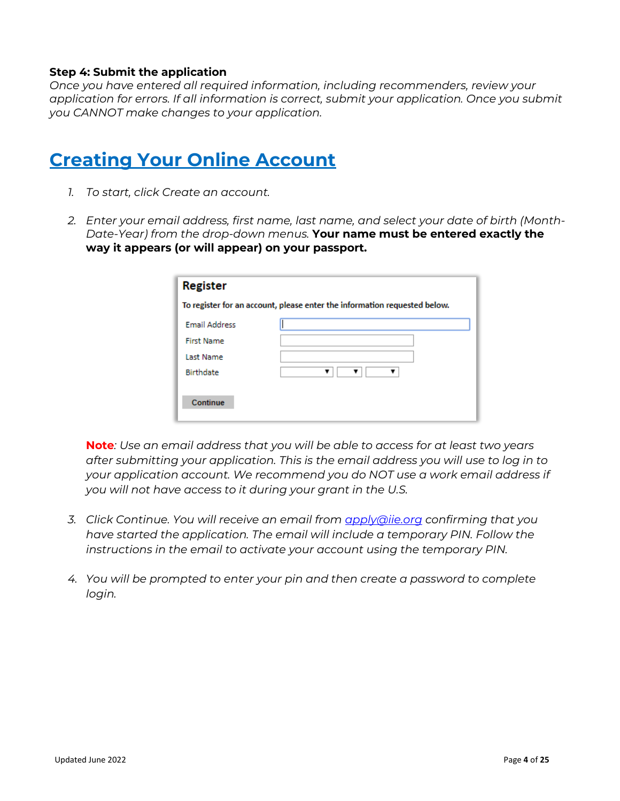#### **Step 4: Submit the application**

*Once you have entered all required information, including recommenders, review your application for errors. If all information is correct, submit your application. Once you submit you CANNOT make changes to your application.* 

### <span id="page-3-0"></span>**Creating Your Online Account**

- *1. To start, click Create an account.*
- *2. Enter your email address, first name, last name, and select your date of birth (Month-Date-Year) from the drop-down menus.* **Your name must be entered exactly the way it appears (or will appear) on your passport.**

| <b>Register</b>                                                           |   |  |  |
|---------------------------------------------------------------------------|---|--|--|
| To register for an account, please enter the information requested below. |   |  |  |
| <b>Email Address</b>                                                      |   |  |  |
| <b>First Name</b>                                                         |   |  |  |
| Last Name                                                                 |   |  |  |
| <b>Birthdate</b>                                                          | v |  |  |
|                                                                           |   |  |  |
| Continue                                                                  |   |  |  |
|                                                                           |   |  |  |

**Note***: Use an email address that you will be able to access for at least two years after submitting your application. This is the email address you will use to log in to your application account. We recommend you do NOT use a work email address if you will not have access to it during your grant in the U.S.* 

- *3. Click Continue. You will receive an email from [apply@iie.org](mailto:apply@iie.org) confirming that you have started the application. The email will include a temporary PIN. Follow the instructions in the email to activate your account using the temporary PIN.*
- *4. You will be prompted to enter your pin and then create a password to complete login.*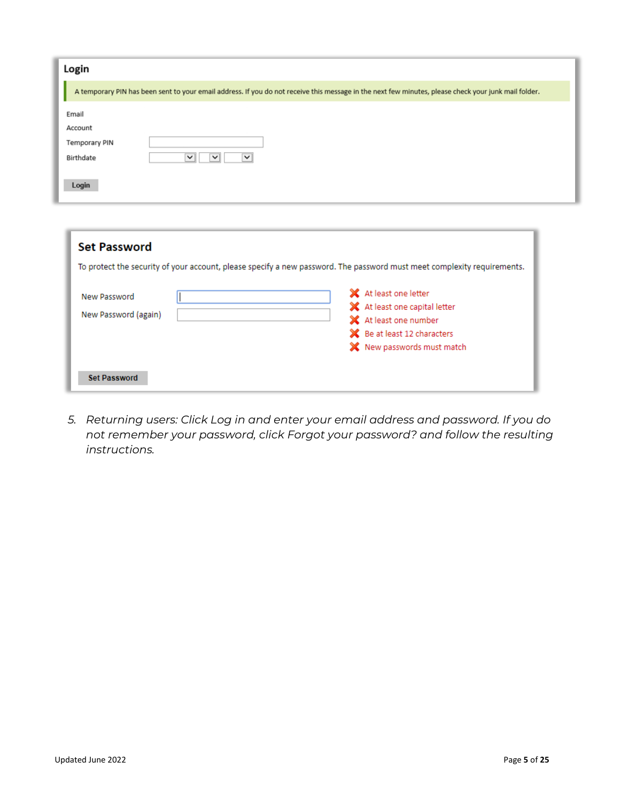| Login                |                                                                                                                                                      |
|----------------------|------------------------------------------------------------------------------------------------------------------------------------------------------|
|                      | A temporary PIN has been sent to your email address. If you do not receive this message in the next few minutes, please check your junk mail folder. |
| Email                |                                                                                                                                                      |
| Account              |                                                                                                                                                      |
| <b>Temporary PIN</b> |                                                                                                                                                      |
| Birthdate            | $\checkmark$<br>$\checkmark$<br>$\checkmark$                                                                                                         |
| Login                |                                                                                                                                                      |

| <b>Set Password</b>                  |                                                                                                                                            |
|--------------------------------------|--------------------------------------------------------------------------------------------------------------------------------------------|
|                                      | To protect the security of your account, please specify a new password. The password must meet complexity requirements.                    |
| New Password<br>New Password (again) | X At least one letter<br>X At least one capital letter<br>X At least one number<br>Se at least 12 characters<br>X New passwords must match |
| <b>Set Password</b>                  |                                                                                                                                            |

*5. Returning users: Click Log in and enter your email address and password. If you do not remember your password, click Forgot your password? and follow the resulting instructions.*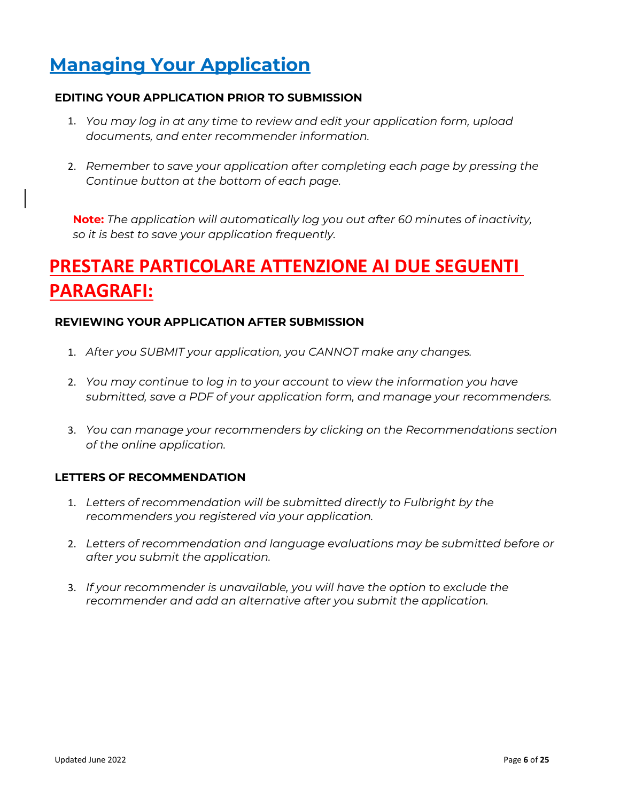# <span id="page-5-0"></span>**Managing Your Application**

#### **EDITING YOUR APPLICATION PRIOR TO SUBMISSION**

- 1. *You may log in at any time to review and edit your application form, upload documents, and enter recommender information.*
- 2. *Remember to save your application after completing each page by pressing the Continue button at the bottom of each page.*

**Note:** *The application will automatically log you out after 60 minutes of inactivity, so it is best to save your application frequently.*

# **PRESTARE PARTICOLARE ATTENZIONE AI DUE SEGUENTI PARAGRAFI:**

#### **REVIEWING YOUR APPLICATION AFTER SUBMISSION**

- 1. *After you SUBMIT your application, you CANNOT make any changes.*
- 2. *You may continue to log in to your account to view the information you have submitted, save a PDF of your application form, and manage your recommenders.*
- 3. *You can manage your recommenders by clicking on the Recommendations section of the online application.*

#### **LETTERS OF RECOMMENDATION**

- 1. *Letters of recommendation will be submitted directly to Fulbright by the recommenders you registered via your application.*
- 2. *Letters of recommendation and language evaluations may be submitted before or after you submit the application.*
- 3. *If your recommender is unavailable, you will have the option to exclude the recommender and add an alternative after you submit the application.*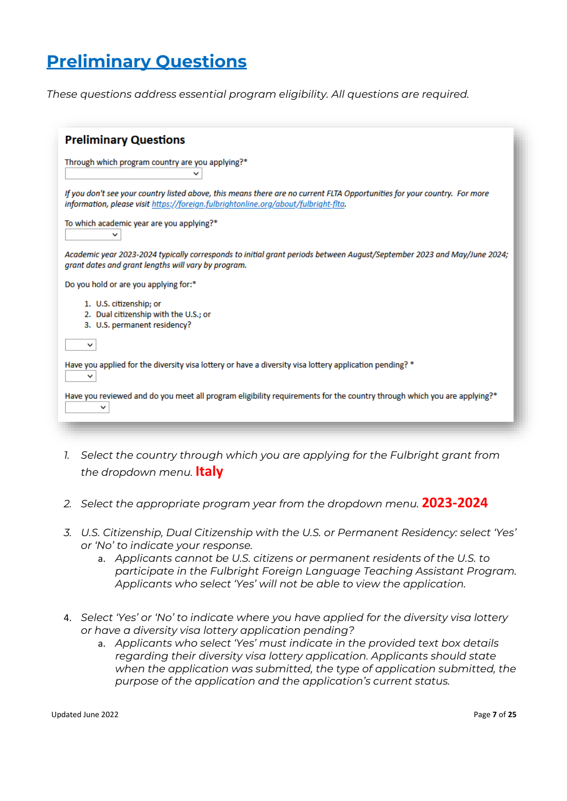# <span id="page-6-0"></span>**Preliminary Questions**

*These questions address essential program eligibility. All questions are required.* 

| <b>Preliminary Questions</b>                                                                                                                                                                                     |
|------------------------------------------------------------------------------------------------------------------------------------------------------------------------------------------------------------------|
| Through which program country are you applying?*<br>v                                                                                                                                                            |
| If you don't see your country listed above, this means there are no current FLTA Opportunities for your country. For more<br>information, please visit https://foreign.fulbrightonline.org/about/fulbright-fita. |
| To which academic year are you applying?*<br>◡                                                                                                                                                                   |
| Academic year 2023-2024 typically corresponds to initial grant periods between August/September 2023 and May/June 2024;<br>grant dates and grant lengths will vary by program.                                   |
| Do you hold or are you applying for:*                                                                                                                                                                            |
| 1. U.S. citizenship; or<br>2. Dual citizenship with the U.S.; or<br>3. U.S. permanent residency?                                                                                                                 |
| ◡                                                                                                                                                                                                                |
| Have you applied for the diversity visa lottery or have a diversity visa lottery application pending? *<br>$\check{ }$                                                                                           |
| Have you reviewed and do you meet all program eligibility requirements for the country through which you are applying?*<br>◡                                                                                     |
|                                                                                                                                                                                                                  |

- 1. Select the country through which you are applying for the Fulbright grant from *the dropdown menu.* **Italy**
- *2. Select the appropriate program year from the dropdown menu.* **2023-2024**
- *3. U.S. Citizenship, Dual Citizenship with the U.S. or Permanent Residency: select 'Yes' or 'No' to indicate your response.* 
	- a. *Applicants cannot be U.S. citizens or permanent residents of the U.S. to participate in the Fulbright Foreign Language Teaching Assistant Program. Applicants who select 'Yes' will not be able to view the application.*
- 4. *Select 'Yes' or 'No' to indicate where you have applied for the diversity visa lottery or have a diversity visa lottery application pending?*
	- a. *Applicants who select 'Yes' must indicate in the provided text box details regarding their diversity visa lottery application. Applicants should state when the application was submitted, the type of application submitted, the purpose of the application and the application's current status.*

Updated June 2022 Page **7** of **25**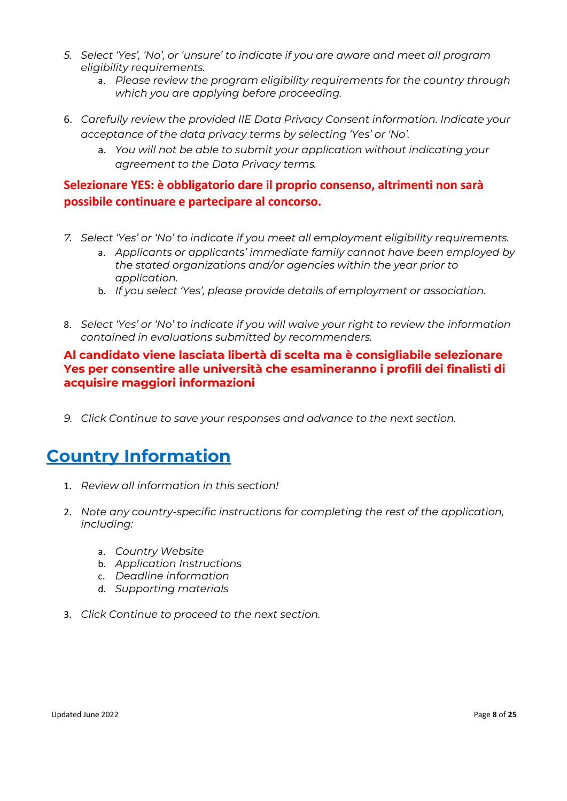- *5. Select 'Yes', 'No', or 'unsure' to indicate if you are aware and meet all program eligibility requirements.*
	- a. *Please review the program eligibility requirements for the country through which you are applying before proceeding.*
- 6. *Carefully review the provided IIE Data Privacy Consent information. Indicate your acceptance of the data privacy terms by selecting 'Yes' or 'No'.*
	- a. *You will not be able to submit your application without indicating your agreement to the Data Privacy terms.*

#### **Selezionare YES: è obbligatorio dare il proprio consenso, altrimenti non sarà possibile continuare e partecipare al concorso.**

- *7. Select 'Yes' or 'No' to indicate if you meet all employment eligibility requirements.*
	- a. *Applicants or applicants' immediate family cannot have been employed by the stated organizations and/or agencies within the year prior to application.*
	- b. *If you select 'Yes', please provide details of employment or association.*
- 8. *Select 'Yes' or 'No' to indicate if you will waive your right to review the information contained in evaluations submitted by recommenders.*

#### **Al candidato viene lasciata libertà di scelta ma è consigliabile selezionare Yes per consentire alle università che esamineranno i profili dei finalisti di acquisire maggiori informazioni**

<span id="page-7-0"></span>*9. Click Continue to save your responses and advance to the next section.* 

## **Country Information**

- 1. *Review all information in this section!*
- 2. *Note any country-specific instructions for completing the rest of the application, including:* 
	- a. *Country Website*
	- b. *Application Instructions*
	- c. *Deadline information*
	- d. *Supporting materials*
- 3. *Click Continue to proceed to the next section.*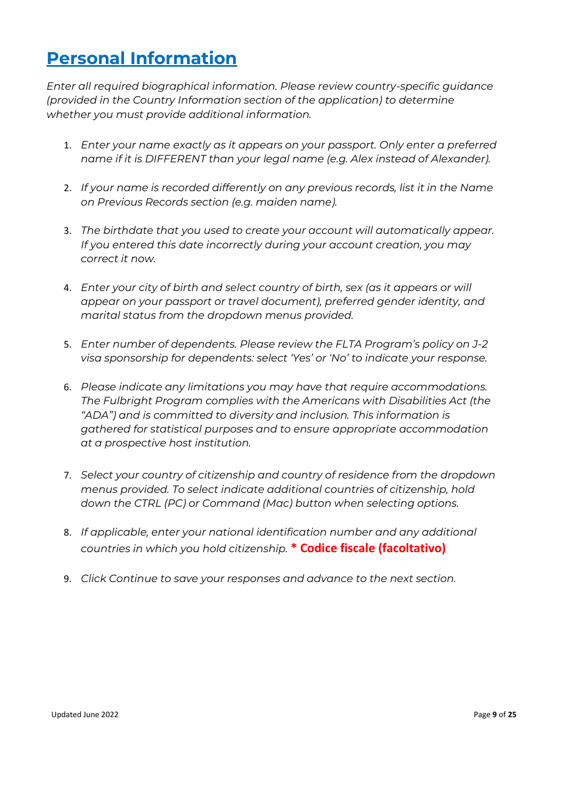## <span id="page-8-0"></span>**Personal Information**

*Enter all required biographical information. Please review country-specific guidance (provided in the Country Information section of the application) to determine whether you must provide additional information.* 

- 1. *Enter your name exactly as it appears on your passport. Only enter a preferred name if it is DIFFERENT than your legal name (e.g. Alex instead of Alexander).*
- 2. *If your name is recorded differently on any previous records, list it in the Name on Previous Records section (e.g. maiden name).*
- 3. *The birthdate that you used to create your account will automatically appear. If you entered this date incorrectly during your account creation, you may correct it now.*
- 4. *Enter your city of birth and select country of birth, sex (as it appears or will appear on your passport or travel document), preferred gender identity, and marital status from the dropdown menus provided.*
- 5. *Enter number of dependents. Please review the FLTA Program's policy on J-2 visa sponsorship for dependents: select 'Yes' or 'No' to indicate your response.*
- 6. *Please indicate any limitations you may have that require accommodations. The Fulbright Program complies with the Americans with Disabilities Act (the "ADA") and is committed to diversity and inclusion. This information is gathered for statistical purposes and to ensure appropriate accommodation at a prospective host institution.*
- 7. *Select your country of citizenship and country of residence from the dropdown menus provided. To select indicate additional countries of citizenship, hold down the CTRL (PC) or Command (Mac) button when selecting options.*
- 8. *If applicable, enter your national identification number and any additional countries in which you hold citizenship.* **\* Codice fiscale (facoltativo)**
- 9. *Click Continue to save your responses and advance to the next section.*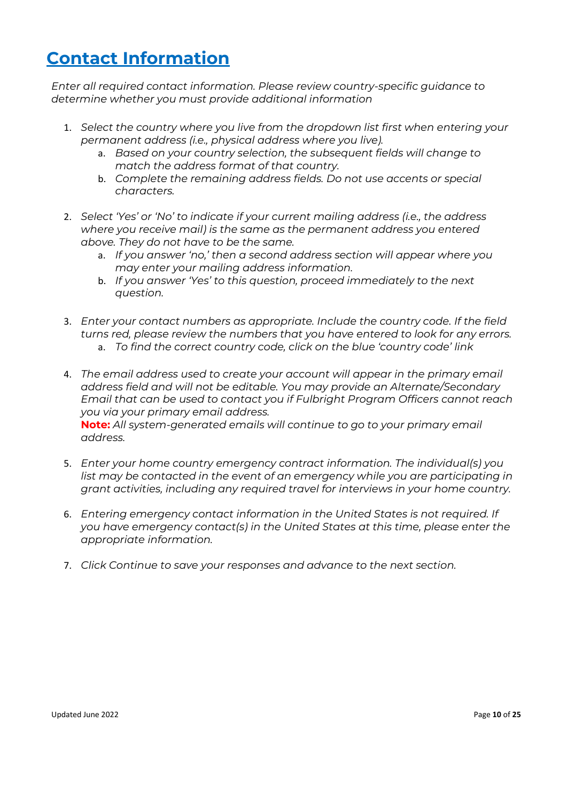# <span id="page-9-0"></span>**Contact Information**

*Enter all required contact information. Please review country-specific guidance to determine whether you must provide additional information*

- 1. *Select the country where you live from the dropdown list first when entering your permanent address (i.e., physical address where you live).*
	- a. *Based on your country selection, the subsequent fields will change to match the address format of that country.*
	- b. *Complete the remaining address fields. Do not use accents or special characters.*
- 2. *Select 'Yes' or 'No' to indicate if your current mailing address (i.e., the address where you receive mail) is the same as the permanent address you entered above. They do not have to be the same.* 
	- a. *If you answer 'no,' then a second address section will appear where you may enter your mailing address information.*
	- b. *If you answer 'Yes' to this question, proceed immediately to the next question.*
- 3. *Enter your contact numbers as appropriate. Include the country code. If the field turns red, please review the numbers that you have entered to look for any errors.* 
	- a. *To find the correct country code, click on the blue 'country code' link*
- 4. *The email address used to create your account will appear in the primary email address field and will not be editable. You may provide an Alternate/Secondary Email that can be used to contact you if Fulbright Program Officers cannot reach you via your primary email address.*

**Note:** *All system-generated emails will continue to go to your primary email address.*

- 5. *Enter your home country emergency contract information. The individual(s) you*  list may be contacted in the event of an emergency while you are participating in *grant activities, including any required travel for interviews in your home country.*
- 6. *Entering emergency contact information in the United States is not required. If you have emergency contact(s) in the United States at this time, please enter the appropriate information.*
- 7. *Click Continue to save your responses and advance to the next section.*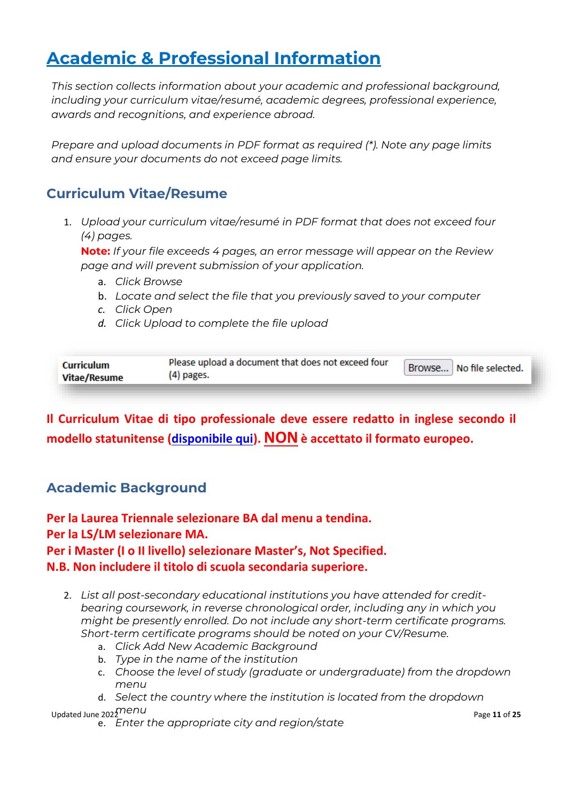# <span id="page-10-0"></span>**Academic & Professional Information**

*This section collects information about your academic and professional background, including your curriculum vitae/resumé, academic degrees, professional experience, awards and recognitions, and experience abroad.*

<span id="page-10-1"></span>*Prepare and upload documents in PDF format as required (\*). Note any page limits and ensure your documents do not exceed page limits.* 

### **Curriculum Vitae/Resume**

1. *Upload your curriculum vitae/resumé in PDF format that does not exceed four (4) pages.* 

**Note:** *If your file exceeds 4 pages, an error message will appear on the Review page and will prevent submission of your application.* 

- a. *Click Browse*
- b. *Locate and select the file that you previously saved to your computer*
- *c. Click Open*
- *d. Click Upload to complete the file upload*

| <b>Curriculum</b><br><b>Vitae/Resume</b> | Please upload a document that does not exceed four<br>(4) pages. | Browse No file selected. |  |
|------------------------------------------|------------------------------------------------------------------|--------------------------|--|
|                                          |                                                                  |                          |  |

<span id="page-10-2"></span>**Il Curriculum Vitae di tipo professionale deve essere redatto in inglese secondo il modello statunitense [\(disponibile qui\)](https://www.google.com/imgres?imgurl=http://i.imgur.com/t5w7MLC.jpg&imgrefurl=https://forum.thegradcafe.com/topic/59906-please-critique-my-cv-for-graduate-admission-application/&tbnid=9PkGcM0fFjMopM&vet=1&docid=bt2EJ9fe5wnbLM&w=1275&h=1651&q=Cv+for+master+application&source=sh/x/im). NONè accettato il formato europeo.**

### **Academic Background**

**Per la Laurea Triennale selezionare BA dal menu a tendina. Per la LS/LM selezionare MA. Per i Master (I o II livello) selezionare Master's, Not Specified. N.B. Non includere il titolo di scuola secondaria superiore.**

- 2. *List all post-secondary educational institutions you have attended for creditbearing coursework, in reverse chronological order, including any in which you might be presently enrolled. Do not include any short-term certificate programs. Short-term certificate programs should be noted on your CV/Resume.*
	- a. *Click Add New Academic Background*
	- b. *Type in the name of the institution*
	- c. *Choose the level of study (graduate or undergraduate) from the dropdown menu*
- Updated June 2021 The DU<sub>P</sub> of *25*<br>
Updated June 2021 The Du<sub>P</sub> of *25* d. *Select the country where the institution is located from the dropdown* 
	- e. *Enter the appropriate city and region/state*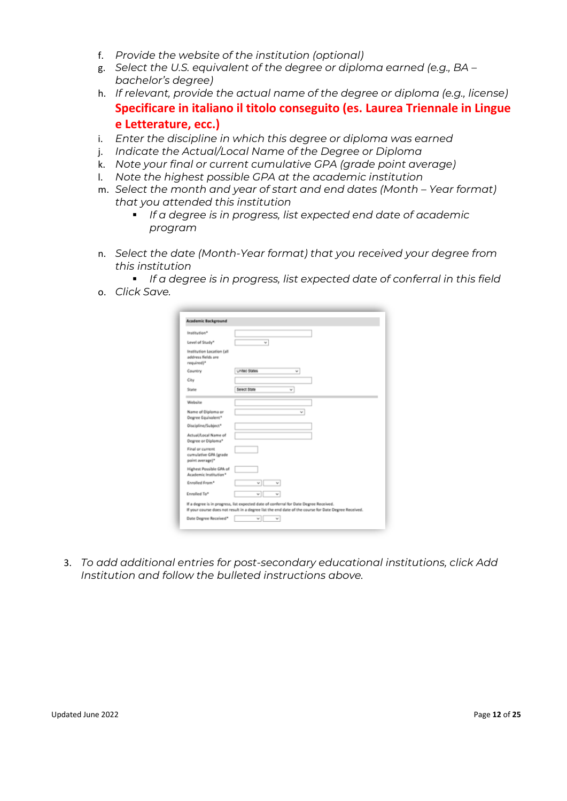- f. *Provide the website of the institution (optional)*
- g. *Select the U.S. equivalent of the degree or diploma earned (e.g., BA – bachelor's degree)*
- h. *If relevant, provide the actual name of the degree or diploma (e.g., license)* **Specificare in italiano il titolo conseguito (es. Laurea Triennale in Lingue e Letterature, ecc.)**
- i. *Enter the discipline in which this degree or diploma was earned*
- j. *Indicate the Actual/Local Name of the Degree or Diploma*
- k. *Note your final or current cumulative GPA (grade point average)*
- l. *Note the highest possible GPA at the academic institution*
- m. Select the month and year of start and end dates (Month Year format) *that you attended this institution*
	- *If a degree is in progress, list expected end date of academic program*
- n. *Select the date (Month-Year format) that you received your degree from this institution*
- *If a degree is in progress, list expected date of conferral in this field* o. *Click Save.*

| Institution*                                                  |                                                                                                      |
|---------------------------------------------------------------|------------------------------------------------------------------------------------------------------|
| Level of Study*                                               | v                                                                                                    |
| Institution Location (all<br>address fields are<br>required)* |                                                                                                      |
| Country                                                       | Linited States<br>v                                                                                  |
| City                                                          |                                                                                                      |
| State                                                         | Select State<br>$\check{}$                                                                           |
| Website                                                       |                                                                                                      |
| Name of Diploma or<br>Degree Equivalent*                      | w                                                                                                    |
| Discipline/Subject*                                           |                                                                                                      |
| Actual/Local Name of<br>Degree or Diploma*                    |                                                                                                      |
| Final or current<br>cumulative GPA (grade<br>point average)*  |                                                                                                      |
| Highest Possible GPA of<br>Academic Institution*              |                                                                                                      |
| Enrolled From*                                                |                                                                                                      |
| Enrolled To*                                                  |                                                                                                      |
|                                                               | If a degree is in progress, list expected date of conferral for Date Degree Received.                |
|                                                               | If your course does not result in a degree list the end date of the course for Date Degree Received. |
| Date Degree Received*                                         | $\overline{\phantom{a}}$                                                                             |

3. *To add additional entries for post-secondary educational institutions, click Add Institution and follow the bulleted instructions above.*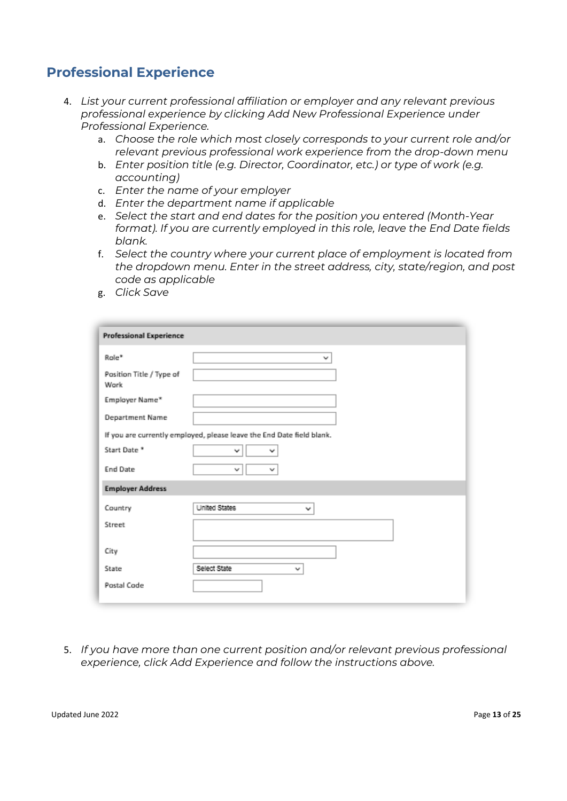### <span id="page-12-0"></span>**Professional Experience**

- 4. *List your current professional affiliation or employer and any relevant previous professional experience by clicking Add New Professional Experience under Professional Experience.*
	- a. *Choose the role which most closely corresponds to your current role and/or relevant previous professional work experience from the drop-down menu*
	- b. *Enter position title (e.g. Director, Coordinator, etc.) or type of work (e.g. accounting)*
	- c. *Enter the name of your employer*
	- d. *Enter the department name if applicable*
	- e. *Select the start and end dates for the position you entered (Month-Year format). If you are currently employed in this role, leave the End Date fields blank.*
	- f. *Select the country where your current place of employment is located from the dropdown menu. Enter in the street address, city, state/region, and post code as applicable*
	- g. *Click Save*

| Role*                            | v                                                                     |
|----------------------------------|-----------------------------------------------------------------------|
| Pasition Title / Type of<br>Work |                                                                       |
| Employer Name*                   |                                                                       |
| Department Name                  |                                                                       |
|                                  | If you are currently employed, please leave the End Date field blank. |
| Start Date *                     | v<br>v                                                                |
| <b>End Date</b>                  | v<br>v                                                                |
| <b>Employer Address</b>          |                                                                       |
| Country                          | United States<br>v                                                    |
| Street                           |                                                                       |
| City                             |                                                                       |
| State                            | Select State<br>v                                                     |
| Postal Code                      |                                                                       |

5. *If you have more than one current position and/or relevant previous professional experience, click Add Experience and follow the instructions above.*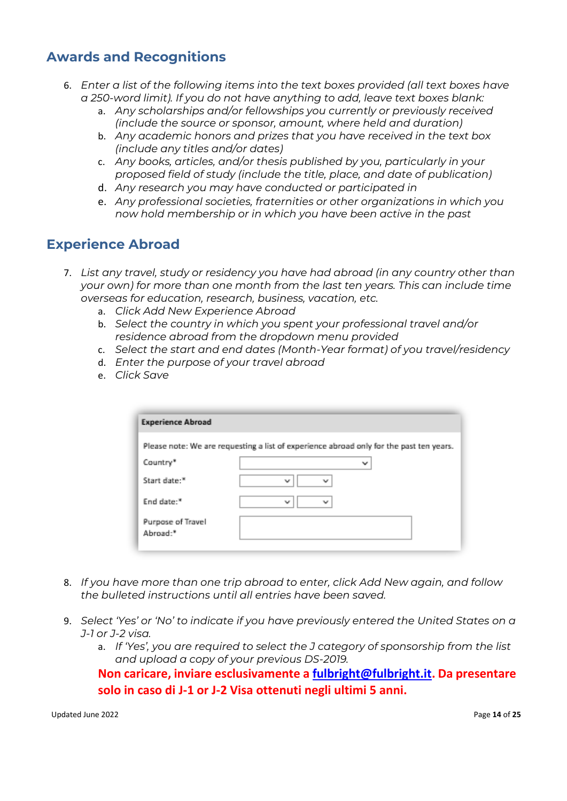### <span id="page-13-0"></span>**Awards and Recognitions**

- <span id="page-13-1"></span>6. *Enter a list of the following items into the text boxes provided (all text boxes have a 250-word limit). If you do not have anything to add, leave text boxes blank:*
	- a. *Any scholarships and/or fellowships you currently or previously received (include the source or sponsor, amount, where held and duration)*
	- b. *Any academic honors and prizes that you have received in the text box (include any titles and/or dates)*
	- c. *Any books, articles, and/or thesis published by you, particularly in your proposed field of study (include the title, place, and date of publication)*
	- d. *Any research you may have conducted or participated in*
	- e. *Any professional societies, fraternities or other organizations in which you now hold membership or in which you have been active in the past*

### **Experience Abroad**

- 7. *List any travel, study or residency you have had abroad (in any country other than your own) for more than one month from the last ten years. This can include time overseas for education, research, business, vacation, etc.* 
	- a. *Click Add New Experience Abroad*
	- b. *Select the country in which you spent your professional travel and/or residence abroad from the dropdown menu provided*
	- c. *Select the start and end dates (Month-Year format) of you travel/residency*
	- d. *Enter the purpose of your travel abroad*
	- e. *Click Save*

| <b>Experience Abroad</b>      |                                                                                         |
|-------------------------------|-----------------------------------------------------------------------------------------|
|                               | Please note: We are requesting a list of experience abroad only for the past ten years. |
| Country*                      | v                                                                                       |
| Start date: <sup>*</sup>      | $\checkmark$<br>v                                                                       |
| End date:*                    | v<br>v                                                                                  |
| Purpose of Travel<br>Abroad:* |                                                                                         |

- 8. *If you have more than one trip abroad to enter, click Add New again, and follow the bulleted instructions until all entries have been saved.*
- 9. *Select 'Yes' or 'No' to indicate if you have previously entered the United States on a J-1 or J-2 visa.*
	- a. *If 'Yes', you are required to select the J category of sponsorship from the list and upload a copy of your previous DS-2019.*

**Non caricare, inviare esclusivamente a [fulbright@fulbright.it.](mailto:fulbright@fulbright.it) Da presentare solo in caso di J-1 or J-2 Visa ottenuti negli ultimi 5 anni.**

Updated June 2022 **Page 14** of 25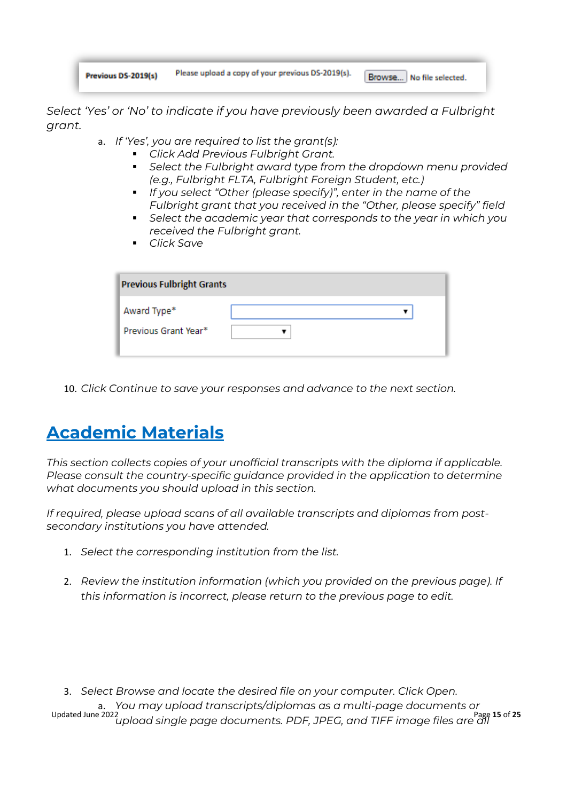| Previous DS-2019(s) | Please upload a copy of your previous DS-2019(s). | Browse No file selected. |
|---------------------|---------------------------------------------------|--------------------------|
|---------------------|---------------------------------------------------|--------------------------|

*Select 'Yes' or 'No' to indicate if you have previously been awarded a Fulbright grant.*

- a. *If 'Yes', you are required to list the grant(s):*
	- *Click Add Previous Fulbright Grant.*
	- *Select the Fulbright award type from the dropdown menu provided (e.g., Fulbright FLTA, Fulbright Foreign Student, etc.)*
	- **·** *If you select "Other (please specify)", enter in the name of the Fulbright grant that you received in the "Other, please specify" field*
	- *Select the academic year that corresponds to the year in which you received the Fulbright grant.*
	- *Click Save*

| <b>Previous Fulbright Grants</b>    |  |  |  |
|-------------------------------------|--|--|--|
| Award Type*<br>Previous Grant Year* |  |  |  |

<span id="page-14-0"></span>10. *Click Continue to save your responses and advance to the next section.*

# **Academic Materials**

*This section collects copies of your unofficial transcripts with the diploma if applicable. Please consult the country-specific guidance provided in the application to determine what documents you should upload in this section.*

*If required, please upload scans of all available transcripts and diplomas from postsecondary institutions you have attended.* 

- 1. *Select the corresponding institution from the list.*
- 2. *Review the institution information (which you provided on the previous page). If this information is incorrect, please return to the previous page to edit.*

Updated June 2022 Page **15** of **25** *upload single page documents. PDF, JPEG, and TIFF image files are all* 3. *Select Browse and locate the desired file on your computer. Click Open.*  a. *You may upload transcripts/diplomas as a multi-page documents or*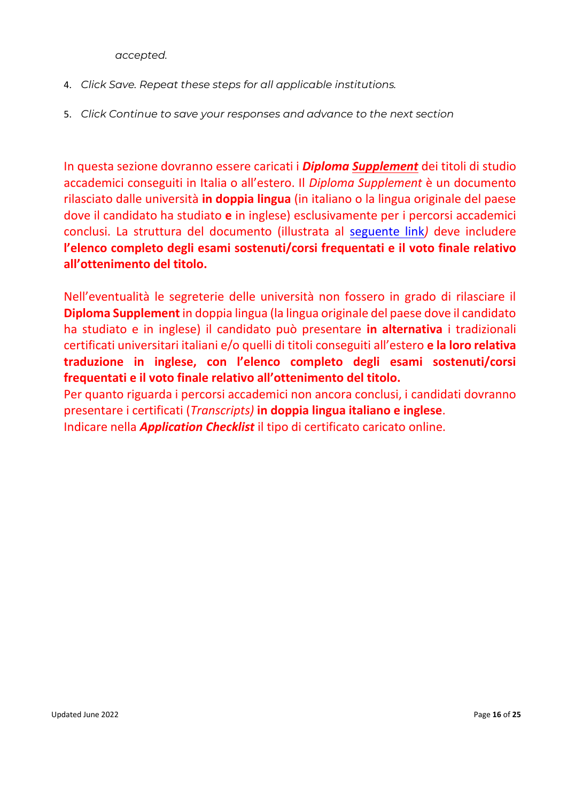*accepted.* 

- 4. *Click Save. Repeat these steps for all applicable institutions.*
- 5. *Click Continue to save your responses and advance to the next section*

In questa sezione dovranno essere caricati i *Diploma Supplement* dei titoli di studio accademici conseguiti in Italia o all'estero. Il *Diploma Supplement* è un documento rilasciato dalle università **in doppia lingua** (in italiano o la lingua originale del paese dove il candidato ha studiato **e** in inglese) esclusivamente per i percorsi accademici conclusi. La struttura del documento (illustrata al [seguente link](https://www.istruzione.it/archivio/web/universita/diploma-supplement.html)*)* deve includere **l'elenco completo degli esami sostenuti/corsi frequentati e il voto finale relativo all'ottenimento del titolo.** 

Nell'eventualità le segreterie delle università non fossero in grado di rilasciare il **Diploma Supplement** in doppia lingua (la lingua originale del paese dove il candidato ha studiato e in inglese) il candidato può presentare **in alternativa** i tradizionali certificati universitari italiani e/o quelli di titoli conseguiti all'estero **e la loro relativa traduzione in inglese, con l'elenco completo degli esami sostenuti/corsi frequentati e il voto finale relativo all'ottenimento del titolo.**

Per quanto riguarda i percorsi accademici non ancora conclusi, i candidati dovranno presentare i certificati (*Transcripts)* **in doppia lingua italiano e inglese**.

Indicare nella *Application Checklist* il tipo di certificato caricato online.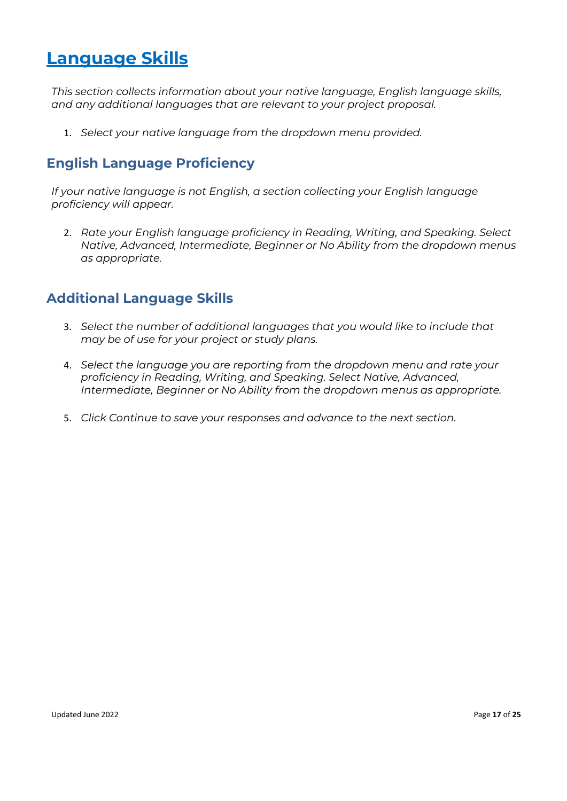### <span id="page-16-0"></span>**Language Skills**

<span id="page-16-1"></span>*This section collects information about your native language, English language skills, and any additional languages that are relevant to your project proposal.*

1. *Select your native language from the dropdown menu provided.*

### **English Language Proficiency**

*If your native language is not English, a section collecting your English language proficiency will appear.*

<span id="page-16-2"></span>2. *Rate your English language proficiency in Reading, Writing, and Speaking. Select Native, Advanced, Intermediate, Beginner or No Ability from the dropdown menus as appropriate.*

### **Additional Language Skills**

- 3. *Select the number of additional languages that you would like to include that may be of use for your project or study plans.*
- 4. *Select the language you are reporting from the dropdown menu and rate your proficiency in Reading, Writing, and Speaking. Select Native, Advanced, Intermediate, Beginner or No Ability from the dropdown menus as appropriate.*
- 5. *Click Continue to save your responses and advance to the next section.*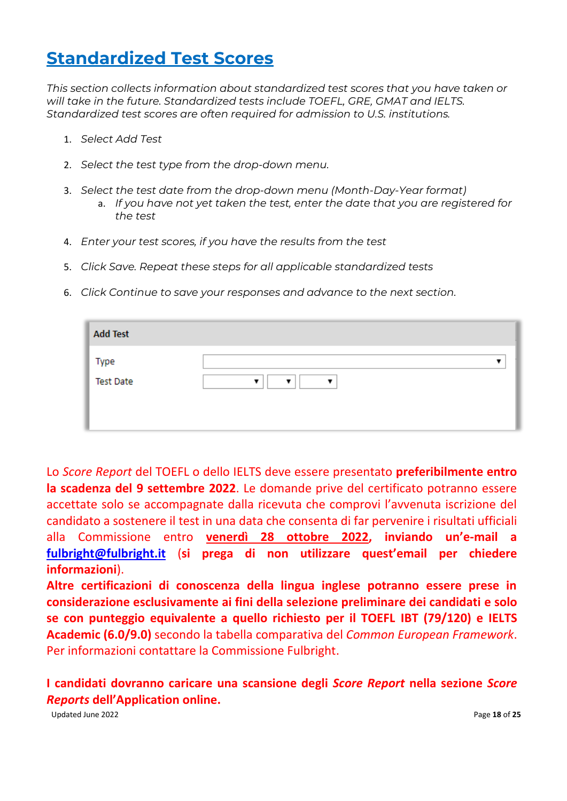## <span id="page-17-0"></span>**Standardized Test Scores**

*This section collects information about standardized test scores that you have taken or will take in the future. Standardized tests include TOEFL, GRE, GMAT and IELTS. Standardized test scores are often required for admission to U.S. institutions.* 

- 1. *Select Add Test*
- 2. *Select the test type from the drop-down menu.*
- 3. *Select the test date from the drop-down menu (Month-Day-Year format)*  a. *If you have not yet taken the test, enter the date that you are registered for the test*
- 4. *Enter your test scores, if you have the results from the test*
- 5. *Click Save. Repeat these steps for all applicable standardized tests*
- 6. *Click Continue to save your responses and advance to the next section.*

| <b>Add Test</b>  |   |
|------------------|---|
| Type             | ▼ |
| <b>Test Date</b> | ▼ |

Lo *Score Report* del TOEFL o dello IELTS deve essere presentato **preferibilmente entro la scadenza del 9 settembre 2022**. Le domande prive del certificato potranno essere accettate solo se accompagnate dalla ricevuta che comprovi l'avvenuta iscrizione del candidato a sostenere il test in una data che consenta di far pervenire i risultati ufficiali alla Commissione entro **venerdì 28 ottobre 2022, inviando un'e-mail a [fulbright@fulbright.it](mailto:fulbright@fulbright.it)** (**si prega di non utilizzare quest'email per chiedere informazioni**).

**Altre certificazioni di conoscenza della lingua inglese potranno essere prese in considerazione esclusivamente ai fini della selezione preliminare dei candidati e solo se con punteggio equivalente a quello richiesto per il TOEFL IBT (79/120) e IELTS Academic (6.0/9.0)** secondo la tabella comparativa del *Common European Framework*. Per informazioni contattare la Commissione Fulbright.

**I candidati dovranno caricare una scansione degli** *Score Report* **nella sezione** *Score Reports* **dell'Application online.**

Updated June 2022 **Page 18** of 25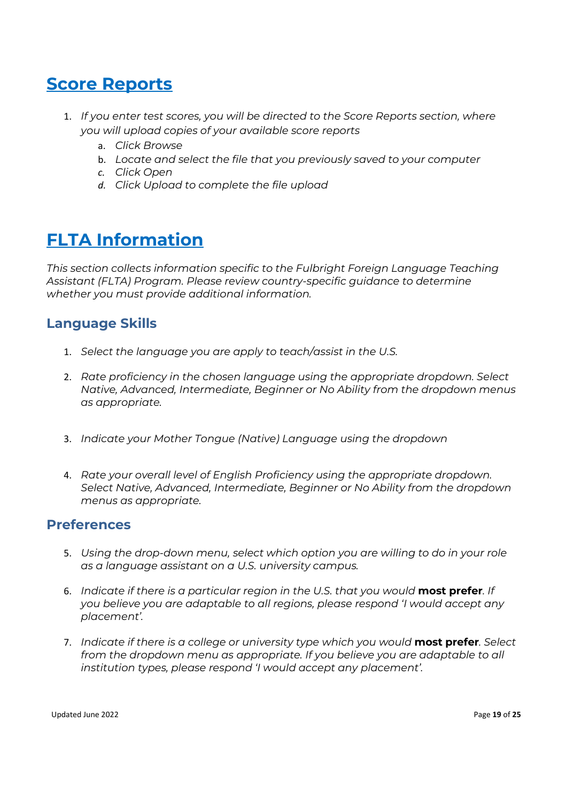# <span id="page-18-0"></span>**Score Reports**

- <span id="page-18-1"></span>1. *If you enter test scores, you will be directed to the Score Reports section, where you will upload copies of your available score reports*
	- a. *Click Browse*
	- b. *Locate and select the file that you previously saved to your computer*
	- *c. Click Open*
	- *d. Click Upload to complete the file upload*

## **FLTA Information**

<span id="page-18-2"></span>*This section collects information specific to the Fulbright Foreign Language Teaching Assistant (FLTA) Program. Please review country-specific guidance to determine whether you must provide additional information.*

### **Language Skills**

- 1. *Select the language you are apply to teach/assist in the U.S.*
- 2. *Rate proficiency in the chosen language using the appropriate dropdown. Select Native, Advanced, Intermediate, Beginner or No Ability from the dropdown menus as appropriate.*
- 3. *Indicate your Mother Tongue (Native) Language using the dropdown*
- <span id="page-18-3"></span>4. *Rate your overall level of English Proficiency using the appropriate dropdown. Select Native, Advanced, Intermediate, Beginner or No Ability from the dropdown menus as appropriate.*

#### **Preferences**

- 5. *Using the drop-down menu, select which option you are willing to do in your role as a language assistant on a U.S. university campus.*
- 6. *Indicate if there is a particular region in the U.S. that you would* **most prefer***. If you believe you are adaptable to all regions, please respond 'I would accept any placement'.*
- 7. *Indicate if there is a college or university type which you would* **most prefer***. Select from the dropdown menu as appropriate. If you believe you are adaptable to all institution types, please respond 'I would accept any placement'.*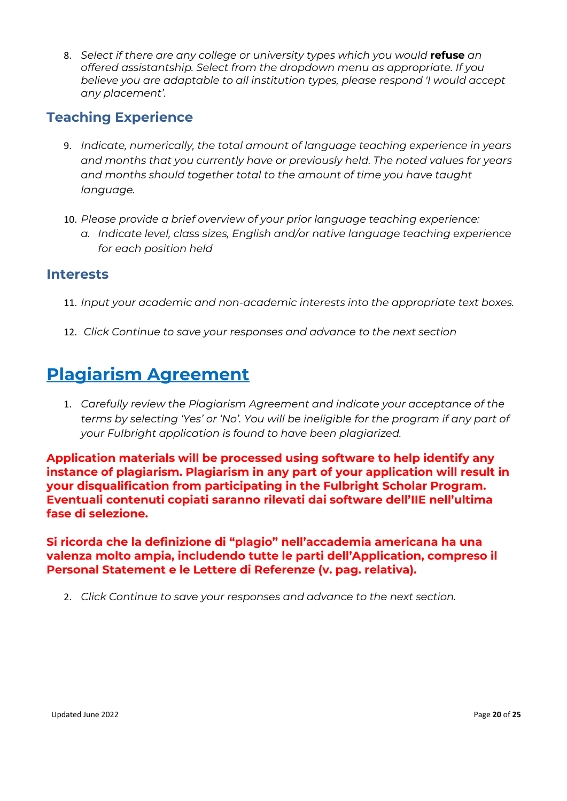<span id="page-19-0"></span>8. *Select if there are any college or university types which you would* **refuse** *an offered assistantship. Select from the dropdown menu as appropriate. If you believe you are adaptable to all institution types, please respond 'I would accept any placement'.*

### **Teaching Experience**

- 9. *Indicate, numerically, the total amount of language teaching experience in years and months that you currently have or previously held. The noted values for years and months should together total to the amount of time you have taught language.*
- <span id="page-19-1"></span>10. *Please provide a brief overview of your prior language teaching experience:*
	- *a. Indicate level, class sizes, English and/or native language teaching experience for each position held*

#### **Interests**

- 11. *Input your academic and non-academic interests into the appropriate text boxes.*
- <span id="page-19-2"></span>12. *Click Continue to save your responses and advance to the next section*

## **Plagiarism Agreement**

1. *Carefully review the Plagiarism Agreement and indicate your acceptance of the terms by selecting 'Yes' or 'No'. You will be ineligible for the program if any part of your Fulbright application is found to have been plagiarized.*

**Application materials will be processed using software to help identify any instance of plagiarism. Plagiarism in any part of your application will result in your disqualification from participating in the Fulbright Scholar Program. Eventuali contenuti copiati saranno rilevati dai software dell'IIE nell'ultima fase di selezione.** 

**Si ricorda che la definizione di "plagio" nell'accademia americana ha una valenza molto ampia, includendo tutte le parti dell'Application, compreso il Personal Statement e le Lettere di Referenze (v. pag. relativa).**

2. *Click Continue to save your responses and advance to the next section.*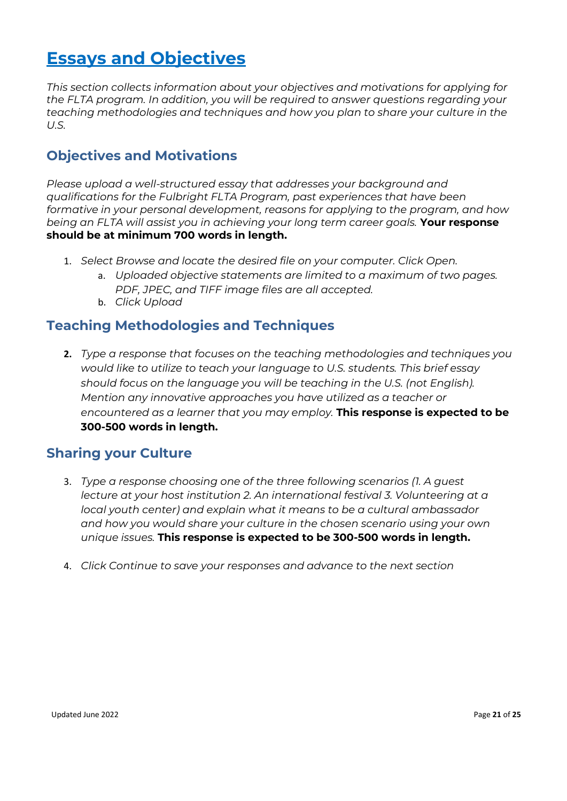# <span id="page-20-0"></span>**Essays and Objectives**

<span id="page-20-1"></span>*This section collects information about your objectives and motivations for applying for the FLTA program. In addition, you will be required to answer questions regarding your teaching methodologies and techniques and how you plan to share your culture in the U.S.* 

### **Objectives and Motivations**

*Please upload a well-structured essay that addresses your background and qualifications for the Fulbright FLTA Program, past experiences that have been formative in your personal development, reasons for applying to the program, and how being an FLTA will assist you in achieving your long term career goals.* **Your response should be at minimum 700 words in length.**

- <span id="page-20-2"></span>1. *Select Browse and locate the desired file on your computer. Click Open.* 
	- a. *Uploaded objective statements are limited to a maximum of two pages. PDF, JPEC, and TIFF image files are all accepted.*
	- b. *Click Upload*

### **Teaching Methodologies and Techniques**

**2.** *Type a response that focuses on the teaching methodologies and techniques you would like to utilize to teach your language to U.S. students. This brief essay should focus on the language you will be teaching in the U.S. (not English). Mention any innovative approaches you have utilized as a teacher or encountered as a learner that you may employ.* **This response is expected to be 300-500 words in length.**

### <span id="page-20-3"></span>**Sharing your Culture**

- 3. *Type a response choosing one of the three following scenarios (1. A guest lecture at your host institution 2. An international festival 3. Volunteering at a local youth center) and explain what it means to be a cultural ambassador and how you would share your culture in the chosen scenario using your own unique issues.* **This response is expected to be 300-500 words in length.**
- 4. *Click Continue to save your responses and advance to the next section*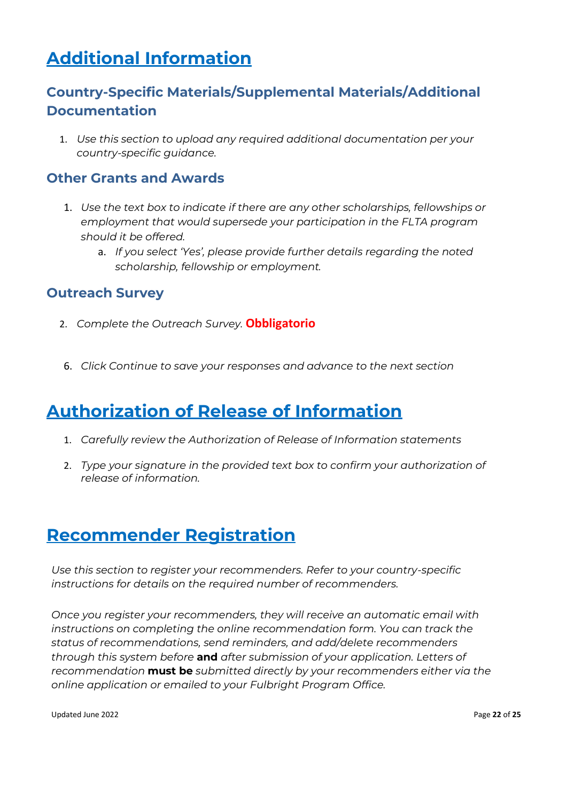# <span id="page-21-1"></span><span id="page-21-0"></span>**Additional Information**

### **Country-Specific Materials/Supplemental Materials/Additional Documentation**

<span id="page-21-2"></span>1. *Use this section to upload any required additional documentation per your country-specific guidance.*

### **Other Grants and Awards**

- <span id="page-21-3"></span>1. *Use the text box to indicate if there are any other scholarships, fellowships or employment that would supersede your participation in the FLTA program should it be offered.*
	- a. *If you select 'Yes', please provide further details regarding the noted scholarship, fellowship or employment.*

### **Outreach Survey**

- 2. *Complete the Outreach Survey.* **Obbligatorio**
- <span id="page-21-4"></span>6. *Click Continue to save your responses and advance to the next section*

## **Authorization of Release of Information**

- 1. *Carefully review the Authorization of Release of Information statements*
- <span id="page-21-5"></span>2. *Type your signature in the provided text box to confirm your authorization of release of information.*

## **Recommender Registration**

*Use this section to register your recommenders. Refer to your country-specific instructions for details on the required number of recommenders.*

*Once you register your recommenders, they will receive an automatic email with instructions on completing the online recommendation form. You can track the status of recommendations, send reminders, and add/delete recommenders through this system before* **and** *after submission of your application. Letters of recommendation* **must be** *submitted directly by your recommenders either via the online application or emailed to your Fulbright Program Office.*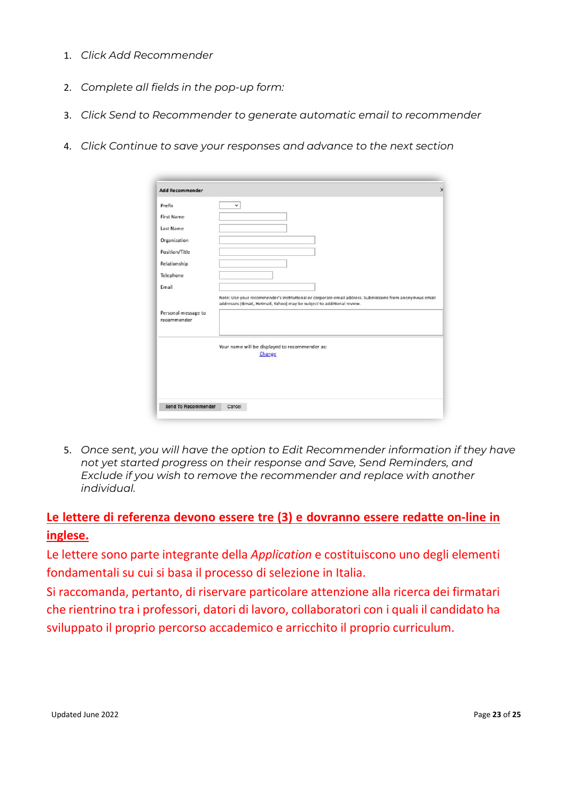- 1. *Click Add Recommender*
- 2. *Complete all fields in the pop-up form:*
- 3. *Click Send to Recommender to generate automatic email to recommender*
- 4. *Click Continue to save your responses and advance to the next section*

| Prefix                             | $\checkmark$                                                                                                                                                                      |
|------------------------------------|-----------------------------------------------------------------------------------------------------------------------------------------------------------------------------------|
| First Name                         |                                                                                                                                                                                   |
| Last Name                          |                                                                                                                                                                                   |
| Organization                       |                                                                                                                                                                                   |
| Pasition/Title                     |                                                                                                                                                                                   |
| Relationship                       |                                                                                                                                                                                   |
| Telephone                          |                                                                                                                                                                                   |
| Email                              |                                                                                                                                                                                   |
| Personal message to<br>recommender | Note: Use your recommender's institutional or corporate email address. Submissions from anonymous email<br>addresses (Gmail, Hotmail, Yahoo) may be subject to additional review. |
|                                    | Your name will be displayed to recommender as:                                                                                                                                    |
|                                    | Change                                                                                                                                                                            |
|                                    |                                                                                                                                                                                   |

5. *Once sent, you will have the option to Edit Recommender information if they have not yet started progress on their response and Save, Send Reminders, and Exclude if you wish to remove the recommender and replace with another individual.*

### **Le lettere di referenza devono essere tre (3) e dovranno essere redatte on-line in inglese.**

Le lettere sono parte integrante della *Application* e costituiscono uno degli elementi fondamentali su cui si basa il processo di selezione in Italia.

Si raccomanda, pertanto, di riservare particolare attenzione alla ricerca dei firmatari che rientrino tra i professori, datori di lavoro, collaboratori con i quali il candidato ha sviluppato il proprio percorso accademico e arricchito il proprio curriculum.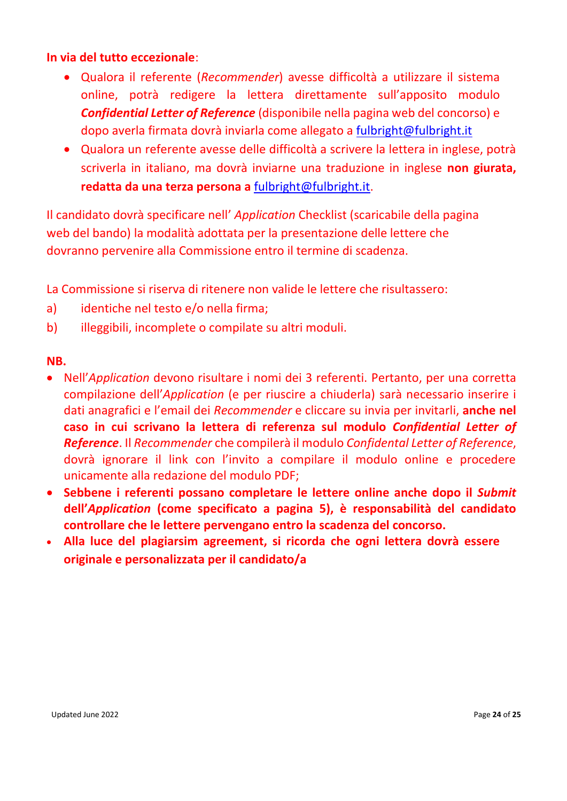#### **In via del tutto eccezionale**:

- Qualora il referente (*Recommender*) avesse difficoltà a utilizzare il sistema online, potrà redigere la lettera direttamente sull'apposito modulo *Confidential Letter of Reference* (disponibile nella pagina web del concorso) e dopo averla firmata dovrà inviarla come allegato a [fulbright@fulbright.it](mailto:fulbright@fulbright.it)
- Qualora un referente avesse delle difficoltà a scrivere la lettera in inglese, potrà scriverla in italiano, ma dovrà inviarne una traduzione in inglese **non giurata, redatta da una terza persona a** [fulbright@fulbright.it.](mailto:fulbright@fulbright.it)

Il candidato dovrà specificare nell' *Application* Checklist (scaricabile della pagina web del bando) la modalità adottata per la presentazione delle lettere che dovranno pervenire alla Commissione entro il termine di scadenza.

La Commissione si riserva di ritenere non valide le lettere che risultassero:

- a) identiche nel testo e/o nella firma;
- b) illeggibili, incomplete o compilate su altri moduli.

#### **NB.**

- Nell'*Application* devono risultare i nomi dei 3 referenti. Pertanto, per una corretta compilazione dell'*Application* (e per riuscire a chiuderla) sarà necessario inserire i dati anagrafici e l'email dei *Recommender* e cliccare su invia per invitarli, **anche nel caso in cui scrivano la lettera di referenza sul modulo** *Confidential Letter of Reference*. Il *Recommender* che compilerà il modulo *Confidental Letter of Reference*, dovrà ignorare il link con l'invito a compilare il modulo online e procedere unicamente alla redazione del modulo PDF;
- **Sebbene i referenti possano completare le lettere online anche dopo il** *Submit* **dell'***Application* **(come specificato a pagina 5), è responsabilità del candidato controllare che le lettere pervengano entro la scadenza del concorso.**
- **Alla luce del plagiarsim agreement, si ricorda che ogni lettera dovrà essere originale e personalizzata per il candidato/a**